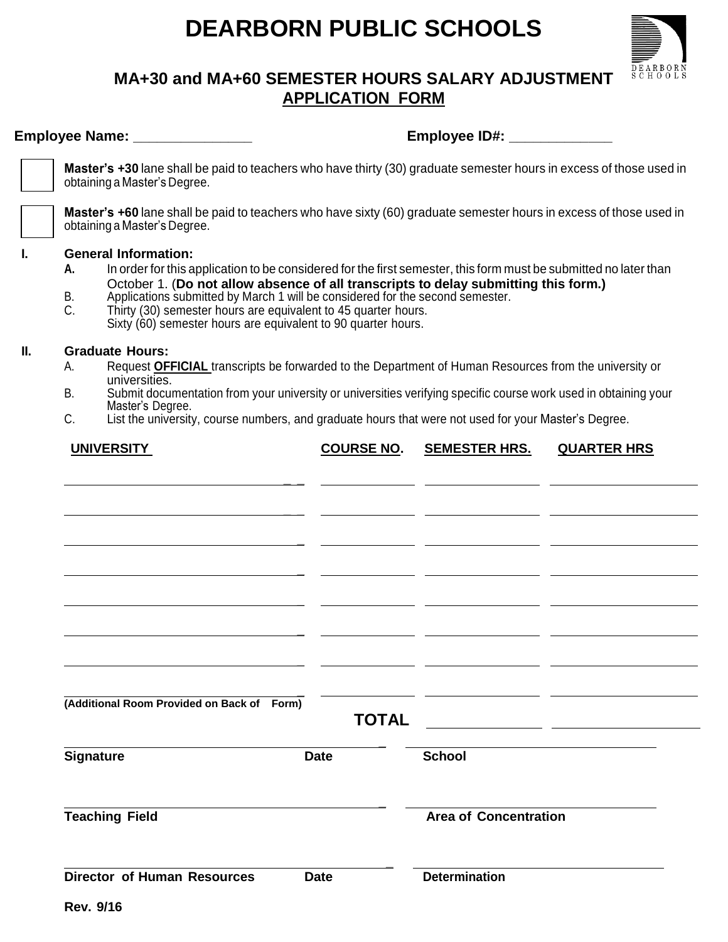## **DEARBORN PUBLIC SCHOOLS**



## **MA+30 and MA+60 SEMESTER HOURS SALARY ADJUSTMENT APPLICATION FORM**

| Employee Name: ________________                                                                                                                                                                                                                                                                                                                                                                                                                                              |                                                                                                                                                     |  | Employee ID#: _______________ |                      |                    |  |  |
|------------------------------------------------------------------------------------------------------------------------------------------------------------------------------------------------------------------------------------------------------------------------------------------------------------------------------------------------------------------------------------------------------------------------------------------------------------------------------|-----------------------------------------------------------------------------------------------------------------------------------------------------|--|-------------------------------|----------------------|--------------------|--|--|
|                                                                                                                                                                                                                                                                                                                                                                                                                                                                              | Master's +30 lane shall be paid to teachers who have thirty (30) graduate semester hours in excess of those used in<br>obtaining a Master's Degree. |  |                               |                      |                    |  |  |
|                                                                                                                                                                                                                                                                                                                                                                                                                                                                              | Master's +60 lane shall be paid to teachers who have sixty (60) graduate semester hours in excess of those used in<br>obtaining a Master's Degree.  |  |                               |                      |                    |  |  |
| <b>General Information:</b><br>In order for this application to be considered for the first semester, this form must be submitted no later than<br>А.<br>October 1. (Do not allow absence of all transcripts to delay submitting this form.)<br>Applications submitted by March 1 will be considered for the second semester.<br>В.<br>C.<br>Thirty (30) semester hours are equivalent to 45 quarter hours.<br>Sixty (60) semester hours are equivalent to 90 quarter hours. |                                                                                                                                                     |  |                               |                      |                    |  |  |
| <b>Graduate Hours:</b>                                                                                                                                                                                                                                                                                                                                                                                                                                                       |                                                                                                                                                     |  |                               |                      |                    |  |  |
| А.                                                                                                                                                                                                                                                                                                                                                                                                                                                                           | Request OFFICIAL transcripts be forwarded to the Department of Human Resources from the university or<br>universities.                              |  |                               |                      |                    |  |  |
| B.                                                                                                                                                                                                                                                                                                                                                                                                                                                                           | Submit documentation from your university or universities verifying specific course work used in obtaining your                                     |  |                               |                      |                    |  |  |
| Master's Degree.<br>C.<br>List the university, course numbers, and graduate hours that were not used for your Master's Degree.                                                                                                                                                                                                                                                                                                                                               |                                                                                                                                                     |  |                               |                      |                    |  |  |
|                                                                                                                                                                                                                                                                                                                                                                                                                                                                              |                                                                                                                                                     |  | <b>COURSE NO.</b>             | <b>SEMESTER HRS.</b> | <b>QUARTER HRS</b> |  |  |
|                                                                                                                                                                                                                                                                                                                                                                                                                                                                              | <b>UNIVERSITY</b>                                                                                                                                   |  |                               |                      |                    |  |  |
|                                                                                                                                                                                                                                                                                                                                                                                                                                                                              |                                                                                                                                                     |  |                               |                      |                    |  |  |
|                                                                                                                                                                                                                                                                                                                                                                                                                                                                              |                                                                                                                                                     |  |                               |                      |                    |  |  |
|                                                                                                                                                                                                                                                                                                                                                                                                                                                                              |                                                                                                                                                     |  |                               |                      |                    |  |  |
|                                                                                                                                                                                                                                                                                                                                                                                                                                                                              |                                                                                                                                                     |  |                               |                      |                    |  |  |
|                                                                                                                                                                                                                                                                                                                                                                                                                                                                              |                                                                                                                                                     |  |                               |                      |                    |  |  |
|                                                                                                                                                                                                                                                                                                                                                                                                                                                                              |                                                                                                                                                     |  |                               |                      |                    |  |  |
|                                                                                                                                                                                                                                                                                                                                                                                                                                                                              |                                                                                                                                                     |  |                               |                      |                    |  |  |
|                                                                                                                                                                                                                                                                                                                                                                                                                                                                              |                                                                                                                                                     |  |                               |                      |                    |  |  |
|                                                                                                                                                                                                                                                                                                                                                                                                                                                                              |                                                                                                                                                     |  |                               |                      |                    |  |  |
|                                                                                                                                                                                                                                                                                                                                                                                                                                                                              |                                                                                                                                                     |  |                               |                      |                    |  |  |
|                                                                                                                                                                                                                                                                                                                                                                                                                                                                              | (Additional Room Provided on Back of Form)                                                                                                          |  | <b>TOTAL</b>                  |                      |                    |  |  |
| <b>Signature</b>                                                                                                                                                                                                                                                                                                                                                                                                                                                             |                                                                                                                                                     |  | <b>Date</b>                   | <b>School</b>        |                    |  |  |
|                                                                                                                                                                                                                                                                                                                                                                                                                                                                              |                                                                                                                                                     |  |                               |                      |                    |  |  |

**\_**